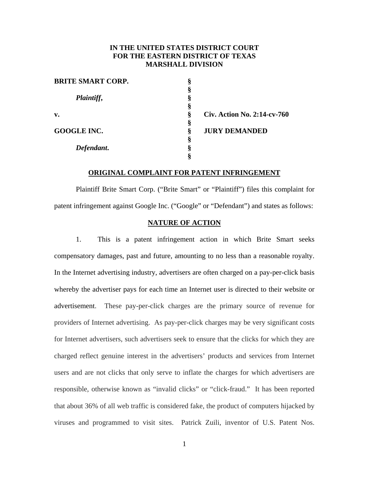# **IN THE UNITED STATES DISTRICT COURT FOR THE EASTERN DISTRICT OF TEXAS MARSHALL DIVISION**

| <b>BRITE SMART CORP.</b> |   |                             |
|--------------------------|---|-----------------------------|
|                          |   |                             |
| Plaintiff,               |   |                             |
|                          | м |                             |
| v.                       | ş | Civ. Action No. 2:14-cv-760 |
|                          | § |                             |
| <b>GOOGLE INC.</b>       | ş | <b>JURY DEMANDED</b>        |
|                          | Ò |                             |
| Defendant.               |   |                             |
|                          |   |                             |

# **ORIGINAL COMPLAINT FOR PATENT INFRINGEMENT**

Plaintiff Brite Smart Corp. ("Brite Smart" or "Plaintiff") files this complaint for patent infringement against Google Inc. ("Google" or "Defendant") and states as follows:

# **NATURE OF ACTION**

1. This is a patent infringement action in which Brite Smart seeks compensatory damages, past and future, amounting to no less than a reasonable royalty. In the Internet advertising industry, advertisers are often charged on a pay-per-click basis whereby the advertiser pays for each time an Internet user is directed to their website or advertisement. These pay-per-click charges are the primary source of revenue for providers of Internet advertising. As pay-per-click charges may be very significant costs for Internet advertisers, such advertisers seek to ensure that the clicks for which they are charged reflect genuine interest in the advertisers' products and services from Internet users and are not clicks that only serve to inflate the charges for which advertisers are responsible, otherwise known as "invalid clicks" or "click-fraud." It has been reported that about 36% of all web traffic is considered fake, the product of computers hijacked by viruses and programmed to visit sites. Patrick Zuili, inventor of U.S. Patent Nos.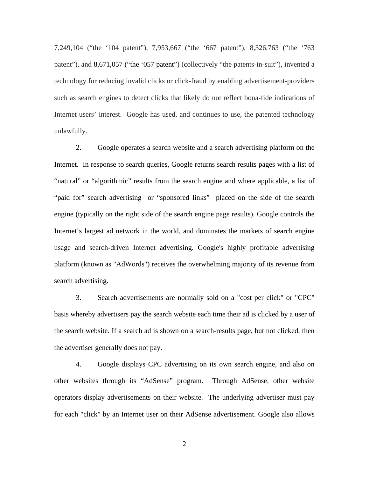7,249,104 ("the '104 patent"), 7,953,667 ("the '667 patent"), 8,326,763 ("the '763 patent"), and 8,671,057 ("the '057 patent") (collectively "the patents-in-suit"), invented a technology for reducing invalid clicks or click-fraud by enabling advertisement-providers such as search engines to detect clicks that likely do not reflect bona-fide indications of Internet users' interest. Google has used, and continues to use, the patented technology unlawfully.

2. Google operates a search website and a search advertising platform on the Internet. In response to search queries, Google returns search results pages with a list of "natural" or "algorithmic" results from the search engine and where applicable, a list of "paid for" search advertising or "sponsored links" placed on the side of the search engine (typically on the right side of the search engine page results). Google controls the Internet's largest ad network in the world, and dominates the markets of search engine usage and search-driven Internet advertising. Google's highly profitable advertising platform (known as "AdWords") receives the overwhelming majority of its revenue from search advertising.

3. Search advertisements are normally sold on a "cost per click" or "CPC" basis whereby advertisers pay the search website each time their ad is clicked by a user of the search website. If a search ad is shown on a search-results page, but not clicked, then the advertiser generally does not pay.

4. Google displays CPC advertising on its own search engine, and also on other websites through its "AdSense" program. Through AdSense, other website operators display advertisements on their website. The underlying advertiser must pay for each "click" by an Internet user on their AdSense advertisement. Google also allows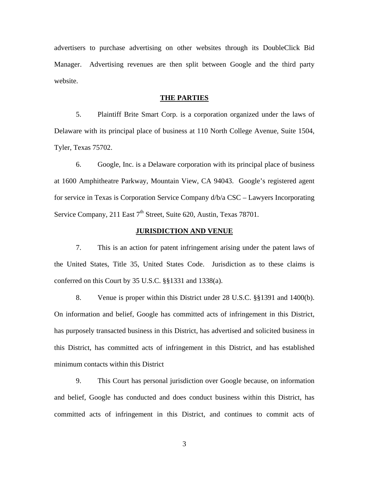advertisers to purchase advertising on other websites through its DoubleClick Bid Manager. Advertising revenues are then split between Google and the third party website.

#### **THE PARTIES**

5. Plaintiff Brite Smart Corp. is a corporation organized under the laws of Delaware with its principal place of business at 110 North College Avenue, Suite 1504, Tyler, Texas 75702.

6. Google, Inc. is a Delaware corporation with its principal place of business at 1600 Amphitheatre Parkway, Mountain View, CA 94043. Google's registered agent for service in Texas is Corporation Service Company d/b/a CSC – Lawyers Incorporating Service Company, 211 East  $7<sup>th</sup>$  Street, Suite 620, Austin, Texas 78701.

### **JURISDICTION AND VENUE**

7. This is an action for patent infringement arising under the patent laws of the United States, Title 35, United States Code. Jurisdiction as to these claims is conferred on this Court by 35 U.S.C. §§1331 and 1338(a).

8. Venue is proper within this District under 28 U.S.C. §§1391 and 1400(b). On information and belief, Google has committed acts of infringement in this District, has purposely transacted business in this District, has advertised and solicited business in this District, has committed acts of infringement in this District, and has established minimum contacts within this District

9. This Court has personal jurisdiction over Google because, on information and belief, Google has conducted and does conduct business within this District, has committed acts of infringement in this District, and continues to commit acts of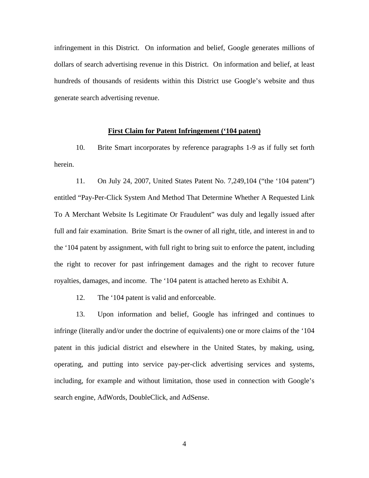infringement in this District. On information and belief, Google generates millions of dollars of search advertising revenue in this District. On information and belief, at least hundreds of thousands of residents within this District use Google's website and thus generate search advertising revenue.

### **First Claim for Patent Infringement ('104 patent)**

10. Brite Smart incorporates by reference paragraphs 1-9 as if fully set forth herein.

11. On July 24, 2007, United States Patent No. 7,249,104 ("the '104 patent") entitled "Pay-Per-Click System And Method That Determine Whether A Requested Link To A Merchant Website Is Legitimate Or Fraudulent" was duly and legally issued after full and fair examination. Brite Smart is the owner of all right, title, and interest in and to the '104 patent by assignment, with full right to bring suit to enforce the patent, including the right to recover for past infringement damages and the right to recover future royalties, damages, and income. The '104 patent is attached hereto as Exhibit A.

12. The '104 patent is valid and enforceable.

13. Upon information and belief, Google has infringed and continues to infringe (literally and/or under the doctrine of equivalents) one or more claims of the '104 patent in this judicial district and elsewhere in the United States, by making, using, operating, and putting into service pay-per-click advertising services and systems, including, for example and without limitation, those used in connection with Google's search engine, AdWords, DoubleClick, and AdSense.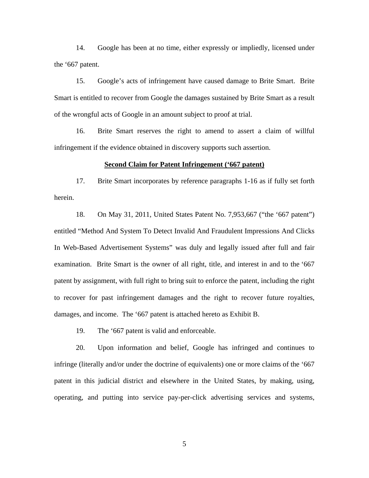14. Google has been at no time, either expressly or impliedly, licensed under the '667 patent.

15. Google's acts of infringement have caused damage to Brite Smart. Brite Smart is entitled to recover from Google the damages sustained by Brite Smart as a result of the wrongful acts of Google in an amount subject to proof at trial.

16. Brite Smart reserves the right to amend to assert a claim of willful infringement if the evidence obtained in discovery supports such assertion.

### **Second Claim for Patent Infringement ('667 patent)**

17. Brite Smart incorporates by reference paragraphs 1-16 as if fully set forth herein.

18. On May 31, 2011, United States Patent No. 7,953,667 ("the '667 patent") entitled "Method And System To Detect Invalid And Fraudulent Impressions And Clicks In Web-Based Advertisement Systems" was duly and legally issued after full and fair examination. Brite Smart is the owner of all right, title, and interest in and to the '667 patent by assignment, with full right to bring suit to enforce the patent, including the right to recover for past infringement damages and the right to recover future royalties, damages, and income. The '667 patent is attached hereto as Exhibit B.

19. The '667 patent is valid and enforceable.

20. Upon information and belief, Google has infringed and continues to infringe (literally and/or under the doctrine of equivalents) one or more claims of the '667 patent in this judicial district and elsewhere in the United States, by making, using, operating, and putting into service pay-per-click advertising services and systems,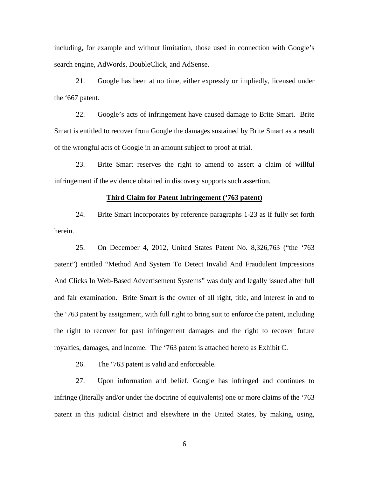including, for example and without limitation, those used in connection with Google's search engine, AdWords, DoubleClick, and AdSense.

21. Google has been at no time, either expressly or impliedly, licensed under the '667 patent.

22. Google's acts of infringement have caused damage to Brite Smart. Brite Smart is entitled to recover from Google the damages sustained by Brite Smart as a result of the wrongful acts of Google in an amount subject to proof at trial.

23. Brite Smart reserves the right to amend to assert a claim of willful infringement if the evidence obtained in discovery supports such assertion.

#### **Third Claim for Patent Infringement ('763 patent)**

24. Brite Smart incorporates by reference paragraphs 1-23 as if fully set forth herein.

25. On December 4, 2012, United States Patent No. 8,326,763 ("the '763 patent") entitled "Method And System To Detect Invalid And Fraudulent Impressions And Clicks In Web-Based Advertisement Systems" was duly and legally issued after full and fair examination. Brite Smart is the owner of all right, title, and interest in and to the '763 patent by assignment, with full right to bring suit to enforce the patent, including the right to recover for past infringement damages and the right to recover future royalties, damages, and income. The '763 patent is attached hereto as Exhibit C.

26. The '763 patent is valid and enforceable.

27. Upon information and belief, Google has infringed and continues to infringe (literally and/or under the doctrine of equivalents) one or more claims of the '763 patent in this judicial district and elsewhere in the United States, by making, using,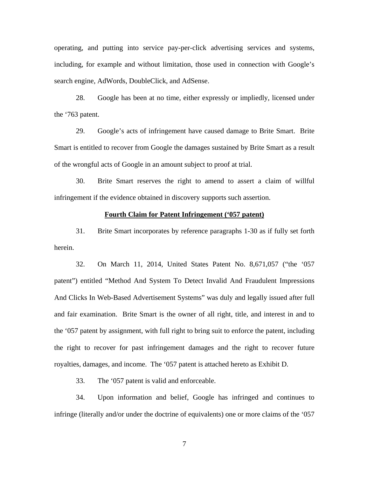operating, and putting into service pay-per-click advertising services and systems, including, for example and without limitation, those used in connection with Google's search engine, AdWords, DoubleClick, and AdSense.

28. Google has been at no time, either expressly or impliedly, licensed under the '763 patent.

29. Google's acts of infringement have caused damage to Brite Smart. Brite Smart is entitled to recover from Google the damages sustained by Brite Smart as a result of the wrongful acts of Google in an amount subject to proof at trial.

30. Brite Smart reserves the right to amend to assert a claim of willful infringement if the evidence obtained in discovery supports such assertion.

### **Fourth Claim for Patent Infringement ('057 patent)**

31. Brite Smart incorporates by reference paragraphs 1-30 as if fully set forth herein.

32. On March 11, 2014, United States Patent No. 8,671,057 ("the '057 patent") entitled "Method And System To Detect Invalid And Fraudulent Impressions And Clicks In Web-Based Advertisement Systems" was duly and legally issued after full and fair examination. Brite Smart is the owner of all right, title, and interest in and to the '057 patent by assignment, with full right to bring suit to enforce the patent, including the right to recover for past infringement damages and the right to recover future royalties, damages, and income. The '057 patent is attached hereto as Exhibit D.

33. The '057 patent is valid and enforceable.

34. Upon information and belief, Google has infringed and continues to infringe (literally and/or under the doctrine of equivalents) one or more claims of the '057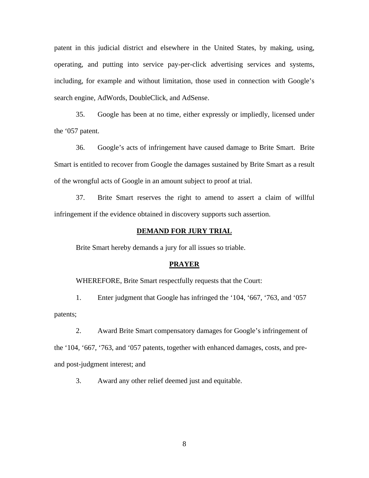patent in this judicial district and elsewhere in the United States, by making, using, operating, and putting into service pay-per-click advertising services and systems, including, for example and without limitation, those used in connection with Google's search engine, AdWords, DoubleClick, and AdSense.

35. Google has been at no time, either expressly or impliedly, licensed under the '057 patent.

36. Google's acts of infringement have caused damage to Brite Smart. Brite Smart is entitled to recover from Google the damages sustained by Brite Smart as a result of the wrongful acts of Google in an amount subject to proof at trial.

37. Brite Smart reserves the right to amend to assert a claim of willful infringement if the evidence obtained in discovery supports such assertion.

#### **DEMAND FOR JURY TRIAL**

Brite Smart hereby demands a jury for all issues so triable.

#### **PRAYER**

WHEREFORE, Brite Smart respectfully requests that the Court:

1. Enter judgment that Google has infringed the '104, '667, '763, and '057 patents;

2. Award Brite Smart compensatory damages for Google's infringement of the '104, '667, '763, and '057 patents, together with enhanced damages, costs, and preand post-judgment interest; and

3. Award any other relief deemed just and equitable.